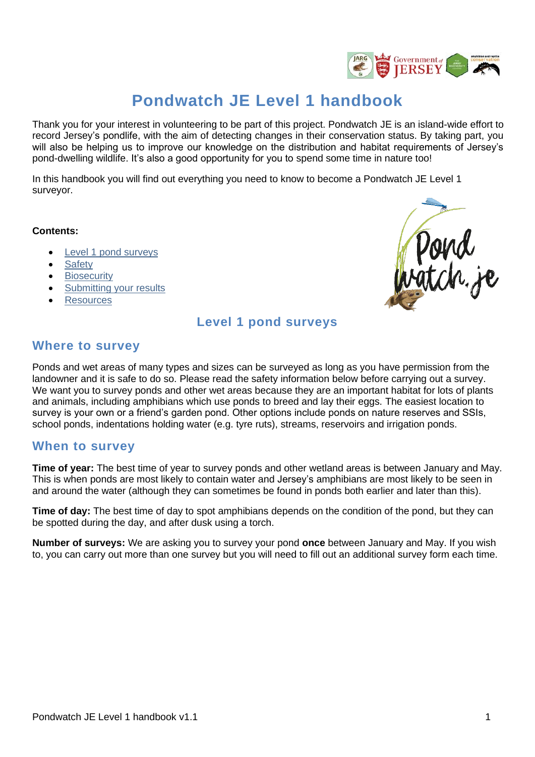

# **Pondwatch JE Level 1 handbook**

Thank you for your interest in volunteering to be part of this project. Pondwatch JE is an island-wide effort to record Jersey's pondlife, with the aim of detecting changes in their conservation status. By taking part, you will also be helping us to improve our knowledge on the distribution and habitat requirements of Jersey's pond-dwelling wildlife. It's also a good opportunity for you to spend some time in nature too!

In this handbook you will find out everything you need to know to become a Pondwatch JE Level 1 surveyor.

#### **Contents:**

- [Level 1 pond surveys](#page-0-0)
- **[Safety](#page-2-0)**
- **[Biosecurity](#page-3-0)**
- [Submitting your results](#page-3-1)
- <span id="page-0-0"></span>**[Resources](#page-3-2)**



## **Level 1 pond surveys**

### **Where to survey**

Ponds and wet areas of many types and sizes can be surveyed as long as you have permission from the landowner and it is safe to do so. Please read the safety information below before carrying out a survey. We want you to survey ponds and other wet areas because they are an important habitat for lots of plants and animals, including amphibians which use ponds to breed and lay their eggs. The easiest location to survey is your own or a friend's garden pond. Other options include ponds on nature reserves and SSIs, school ponds, indentations holding water (e.g. tyre ruts), streams, reservoirs and irrigation ponds.

### **When to survey**

**Time of year:** The best time of year to survey ponds and other wetland areas is between January and May. This is when ponds are most likely to contain water and Jersey's amphibians are most likely to be seen in and around the water (although they can sometimes be found in ponds both earlier and later than this).

**Time of day:** The best time of day to spot amphibians depends on the condition of the pond, but they can be spotted during the day, and after dusk using a torch.

**Number of surveys:** We are asking you to survey your pond **once** between January and May. If you wish to, you can carry out more than one survey but you will need to fill out an additional survey form each time.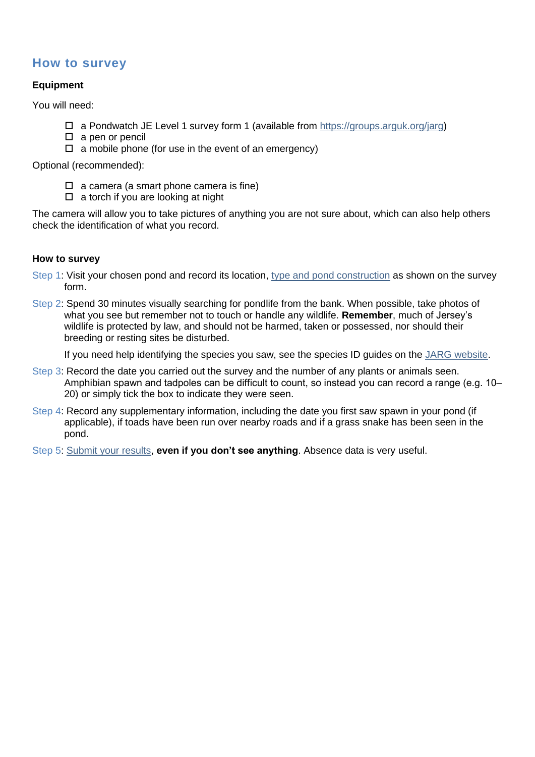# **How to survey**

#### **Equipment**

You will need:

- $\Box$  a Pondwatch JE Level 1 survey form 1 (available from [https://groups.arguk.org/jarg\)](https://groups.arguk.org/jarg)
- $\square$  a pen or pencil
- $\Box$  a mobile phone (for use in the event of an emergency)

Optional (recommended):

- $\Box$  a camera (a smart phone camera is fine)
- $\Box$  a torch if you are looking at night

The camera will allow you to take pictures of anything you are not sure about, which can also help others check the identification of what you record.

#### **How to survey**

- Step 1: Visit your chosen pond and record its location, [type and pond construction](#page-1-0) as shown on the survey form.
- Step 2: Spend 30 minutes visually searching for pondlife from the bank. When possible, take photos of what you see but remember not to touch or handle any wildlife. **Remember**, much of Jersey's wildlife is protected by law, and should not be harmed, taken or possessed, nor should their breeding or resting sites be disturbed.

If you need help identifying the species you saw, see the species ID guides on the [JARG website.](https://groups.arguk.org/jarg)

- Step 3: Record the date you carried out the survey and the number of any plants or animals seen. Amphibian spawn and tadpoles can be difficult to count, so instead you can record a range (e.g. 10– 20) or simply tick the box to indicate they were seen.
- Step 4: Record any supplementary information, including the date you first saw spawn in your pond (if applicable), if toads have been run over nearby roads and if a grass snake has been seen in the pond.
- <span id="page-1-0"></span>Step 5: [Submit your results,](#page-3-1) **even if you don't see anything**. Absence data is very useful.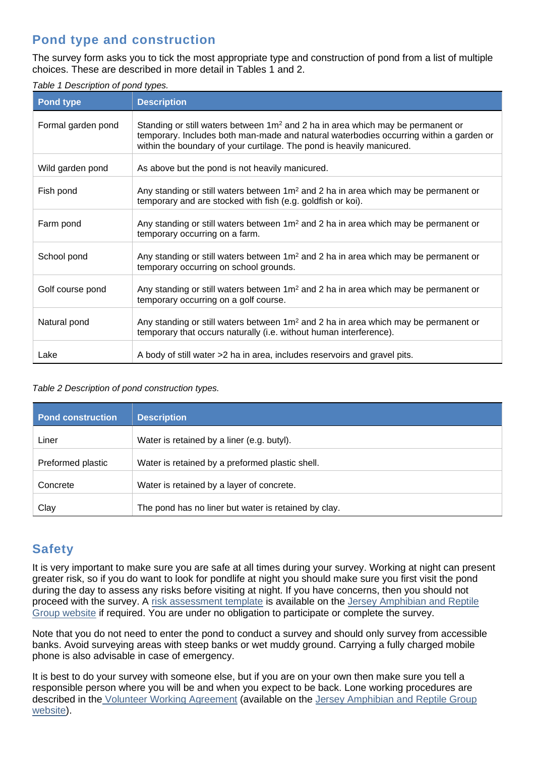# **Pond type and construction**

The survey form asks you to tick the most appropriate type and construction of pond from a list of multiple choices. These are described in more detail in Tables 1 and 2.

| Table 1 Description of pond types. |  |
|------------------------------------|--|
|------------------------------------|--|

| <b>Pond type</b>   | <b>Description</b>                                                                                                                                                                                                                                             |
|--------------------|----------------------------------------------------------------------------------------------------------------------------------------------------------------------------------------------------------------------------------------------------------------|
| Formal garden pond | Standing or still waters between 1m <sup>2</sup> and 2 ha in area which may be permanent or<br>temporary. Includes both man-made and natural waterbodies occurring within a garden or<br>within the boundary of your curtilage. The pond is heavily manicured. |
| Wild garden pond   | As above but the pond is not heavily manicured.                                                                                                                                                                                                                |
| Fish pond          | Any standing or still waters between $1m^2$ and 2 ha in area which may be permanent or<br>temporary and are stocked with fish (e.g. goldfish or koi).                                                                                                          |
| Farm pond          | Any standing or still waters between 1m <sup>2</sup> and 2 ha in area which may be permanent or<br>temporary occurring on a farm.                                                                                                                              |
| School pond        | Any standing or still waters between 1m <sup>2</sup> and 2 ha in area which may be permanent or<br>temporary occurring on school grounds.                                                                                                                      |
| Golf course pond   | Any standing or still waters between $1m^2$ and 2 ha in area which may be permanent or<br>temporary occurring on a golf course.                                                                                                                                |
| Natural pond       | Any standing or still waters between $1m^2$ and 2 ha in area which may be permanent or<br>temporary that occurs naturally (i.e. without human interference).                                                                                                   |
| Lake               | A body of still water >2 ha in area, includes reservoirs and gravel pits.                                                                                                                                                                                      |

#### *Table 2 Description of pond construction types.*

| <b>Pond construction</b> | <b>Description</b>                                   |
|--------------------------|------------------------------------------------------|
| Liner                    | Water is retained by a liner (e.g. butyl).           |
| Preformed plastic        | Water is retained by a preformed plastic shell.      |
| Concrete                 | Water is retained by a layer of concrete.            |
| Clay                     | The pond has no liner but water is retained by clay. |

# <span id="page-2-0"></span>**Safety**

It is very important to make sure you are safe at all times during your survey. Working at night can present greater risk, so if you do want to look for pondlife at night you should make sure you first visit the pond during the day to assess any risks before visiting at night. If you have concerns, then you should not proceed with the survey. A [risk assessment template](https://groups.arguk.org/images/users/70/downloads/ARG_UK_Generic_Risk_Assessment_Feb_2018.doc) is available on the Jersey Amphibian and Reptile [Group website](https://groups.arguk.org/images/users/70/downloads/ARG_UK_Generic_Risk_Assessment_Feb_2018.doc) if required. You are under no obligation to participate or complete the survey.

Note that you do not need to enter the pond to conduct a survey and should only survey from accessible banks. Avoid surveying areas with steep banks or wet muddy ground. Carrying a fully charged mobile phone is also advisable in case of emergency.

It is best to do your survey with someone else, but if you are on your own then make sure you tell a responsible person where you will be and when you expect to be back. Lone working procedures are described in the [Volunteer Working Agreement](https://groups.arguk.org/images/users/70/downloads/NE-F-JARG_Volunteer_Working_Agreement_2022.pdf) (available on the [Jersey Amphibian and Reptile Group](https://groups.arguk.org/jarg)  [website\)](https://groups.arguk.org/jarg).